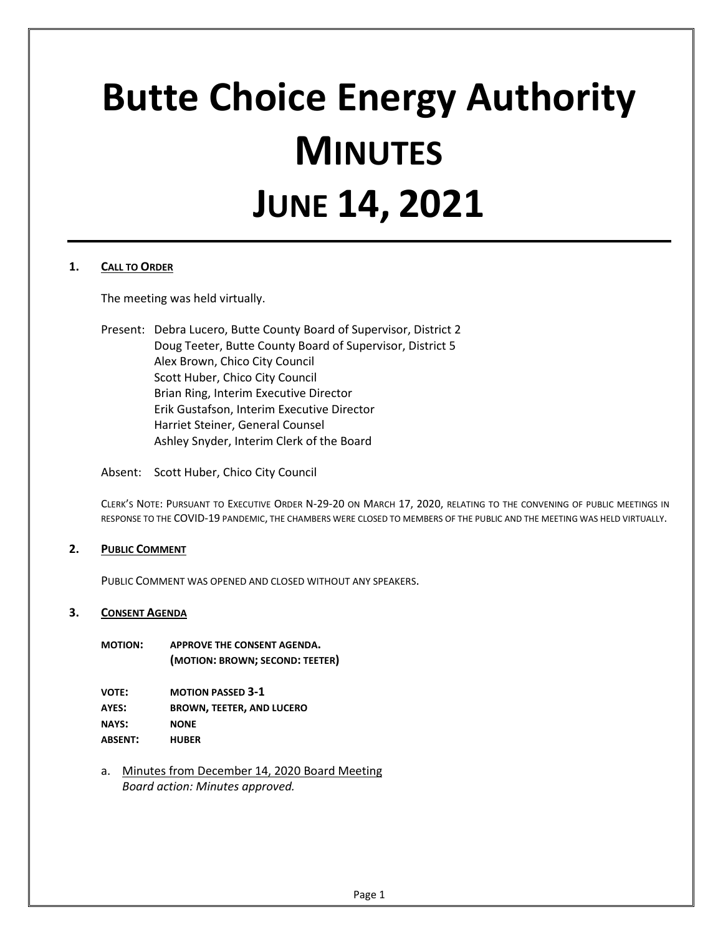# **Butte Choice Energy Authority MINUTES JUNE 14, 2021**

## **1. CALL TO ORDER**

The meeting was held virtually.

Present: Debra Lucero, Butte County Board of Supervisor, District 2 Doug Teeter, Butte County Board of Supervisor, District 5 Alex Brown, Chico City Council Scott Huber, Chico City Council Brian Ring, Interim Executive Director Erik Gustafson, Interim Executive Director Harriet Steiner, General Counsel Ashley Snyder, Interim Clerk of the Board

Absent: Scott Huber, Chico City Council

CLERK'S NOTE: PURSUANT TO EXECUTIVE ORDER N-29-20 ON MARCH 17, 2020, RELATING TO THE CONVENING OF PUBLIC MEETINGS IN RESPONSE TO THE COVID-19 PANDEMIC, THE CHAMBERS WERE CLOSED TO MEMBERS OF THE PUBLIC AND THE MEETING WAS HELD VIRTUALLY.

## **2. PUBLIC COMMENT**

PUBLIC COMMENT WAS OPENED AND CLOSED WITHOUT ANY SPEAKERS.

## **3. CONSENT AGENDA**

**MOTION: APPROVE THE CONSENT AGENDA. (MOTION: BROWN; SECOND: TEETER)**

| VOTE:   | <b>MOTION PASSED 3-1</b>         |
|---------|----------------------------------|
| AYES:   | <b>BROWN, TEETER, AND LUCERO</b> |
| NAYS:   | <b>NONE</b>                      |
| ABSENT: | <b>HUBER</b>                     |

a. Minutes from December 14, 2020 Board Meeting *Board action: Minutes approved.*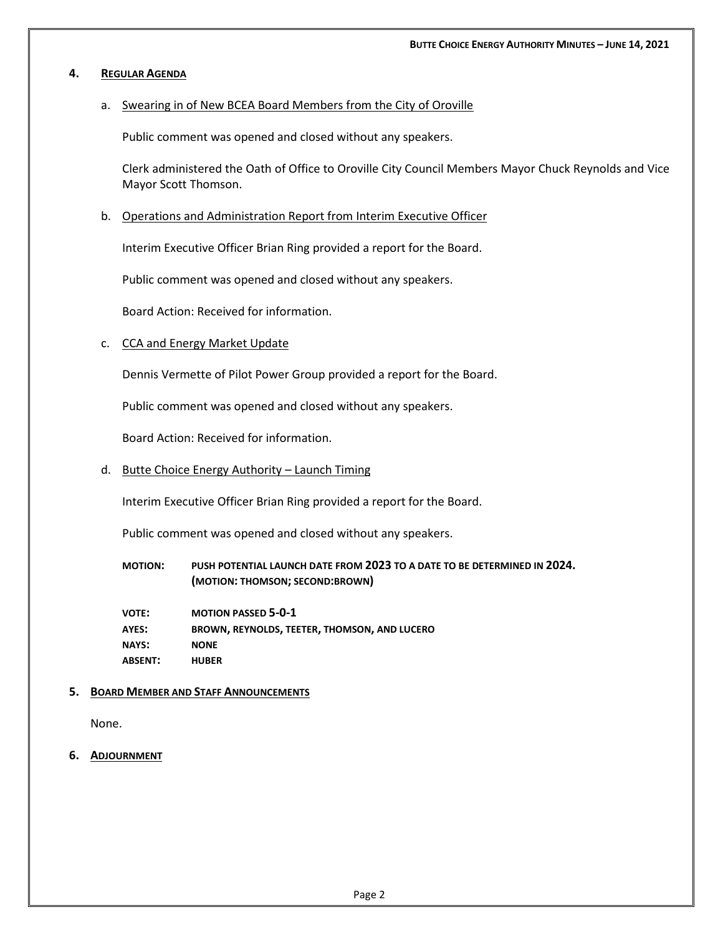### **4. REGULAR AGENDA**

## a. Swearing in of New BCEA Board Members from the City of Oroville

Public comment was opened and closed without any speakers.

Clerk administered the Oath of Office to Oroville City Council Members Mayor Chuck Reynolds and Vice Mayor Scott Thomson.

### b. Operations and Administration Report from Interim Executive Officer

Interim Executive Officer Brian Ring provided a report for the Board.

Public comment was opened and closed without any speakers.

Board Action: Received for information.

#### c. CCA and Energy Market Update

Dennis Vermette of Pilot Power Group provided a report for the Board.

Public comment was opened and closed without any speakers.

Board Action: Received for information.

d. Butte Choice Energy Authority – Launch Timing

Interim Executive Officer Brian Ring provided a report for the Board.

Public comment was opened and closed without any speakers.

**MOTION: PUSH POTENTIAL LAUNCH DATE FROM 2023 TO A DATE TO BE DETERMINED IN 2024. (MOTION: THOMSON; SECOND:BROWN)**

**VOTE: MOTION PASSED 5-0-1 AYES: BROWN, REYNOLDS, TEETER, THOMSON, AND LUCERO NAYS: NONE ABSENT: HUBER**

#### **5. BOARD MEMBER AND STAFF ANNOUNCEMENTS**

None.

**6. ADJOURNMENT**